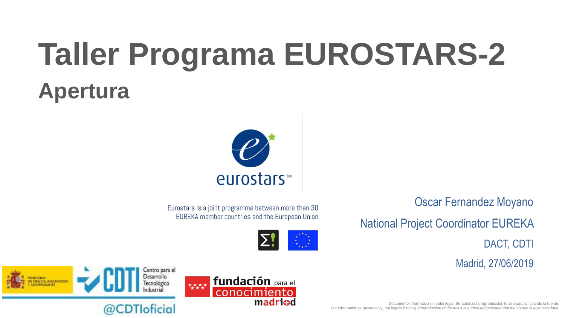# **Taller Programa EUROSTARS-2 Apertura**



Eurostars is a joint programme between more than 30 EUREKA member countries and the European Union



madricd

Oscar Fernandez Moyano

National Project Coordinator EUREKA

DACT, CDTI

Madrid, 27/06/2019





### @CDTIoficial

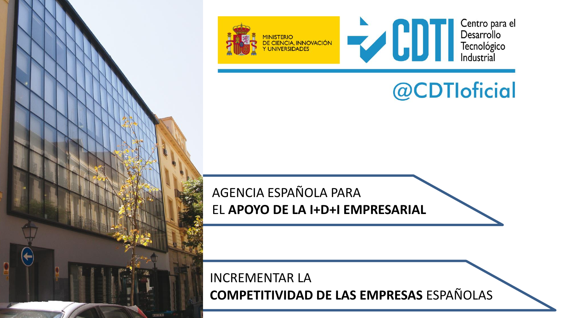

## @CDTIoficial

For information purposes only, not legally binding. *Reproduction of the text it is authorised provided that the source is acknowledged.*

AGENCIA ESPAÑOLA PARA EL **APOYO DE LA I+D+I EMPRESARIAL**

Documento informativo sin valor legal. Se autoriza la reproducción total o parcial, citando la fuente. INCREMENTAR LA **COMPETITIVIDAD DE LAS EMPRESAS** ESPAÑOLAS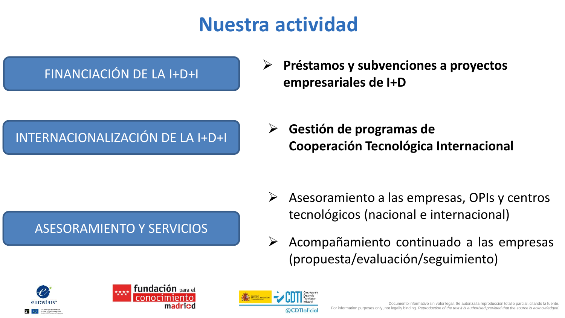## **Nuestra actividad**

 **Préstamos y subvenciones a proyectos EINANCIACIÓN DE LA I+D+I**<br>**empresariales de I+D** 

ASESORAMIENTO Y SERVICIOS

 **Gestión de programas de Cooperación Tecnológica Internacional** INTERNACIONALIZACIÓN DE LA I+D+I

- $\triangleright$  Asesoramiento a las empresas, OPIs y centros tecnológicos (nacional e internacional)
- $\triangleright$  Acompañamiento continuado a las empresas (propuesta/evaluación/seguimiento)





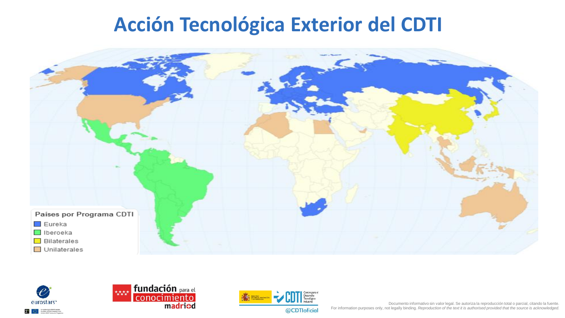### **Acción Tecnológica Exterior del CDTI**









Documento informativo sin valor legal. Se autoriza la reproducción total o parcial, citando la fuente. For information purposes only, not legally binding. *Reproduction of the text it is authorised provided that the source is acknowledged.*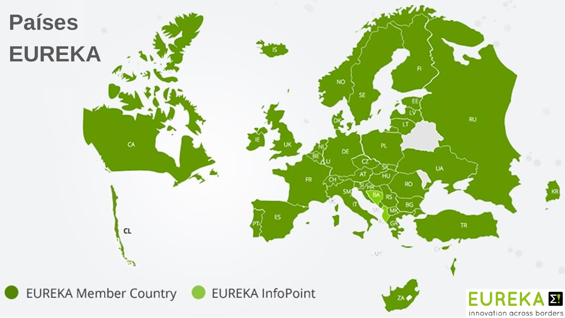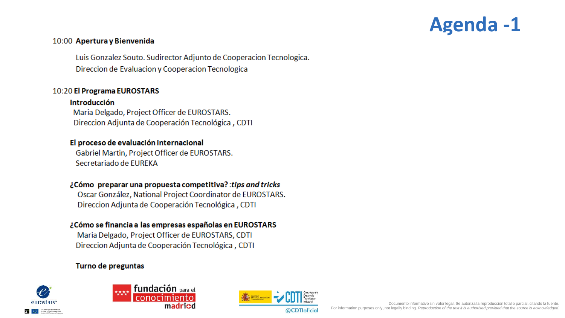

#### 10:00 Apertura y Bienvenida

Luis Gonzalez Souto. Sudirector Adjunto de Cooperacion Tecnologica. Direccion de Evaluacion y Cooperacion Tecnologica

#### 10:20 El Programa EUROSTARS

#### Introducción

Maria Delgado, Project Officer de EUROSTARS. Direccion Adjunta de Cooperación Tecnológica, CDTI

#### El proceso de evaluación internacional

Gabriel Martin, Project Officer de EUROSTARS. Secretariado de EUREKA

#### ¿Cómo preparar una propuesta competitiva? : tips and tricks

Oscar González, National Project Coordinator de EUROSTARS. Direccion Adjunta de Cooperación Tecnológica, CDTI

#### ¿Cómo se financia a las empresas españolas en EUROSTARS

Maria Delgado, Project Officer de EUROSTARS, CDTI Direccion Adjunta de Cooperación Tecnológica, CDTI

#### Turno de preguntas